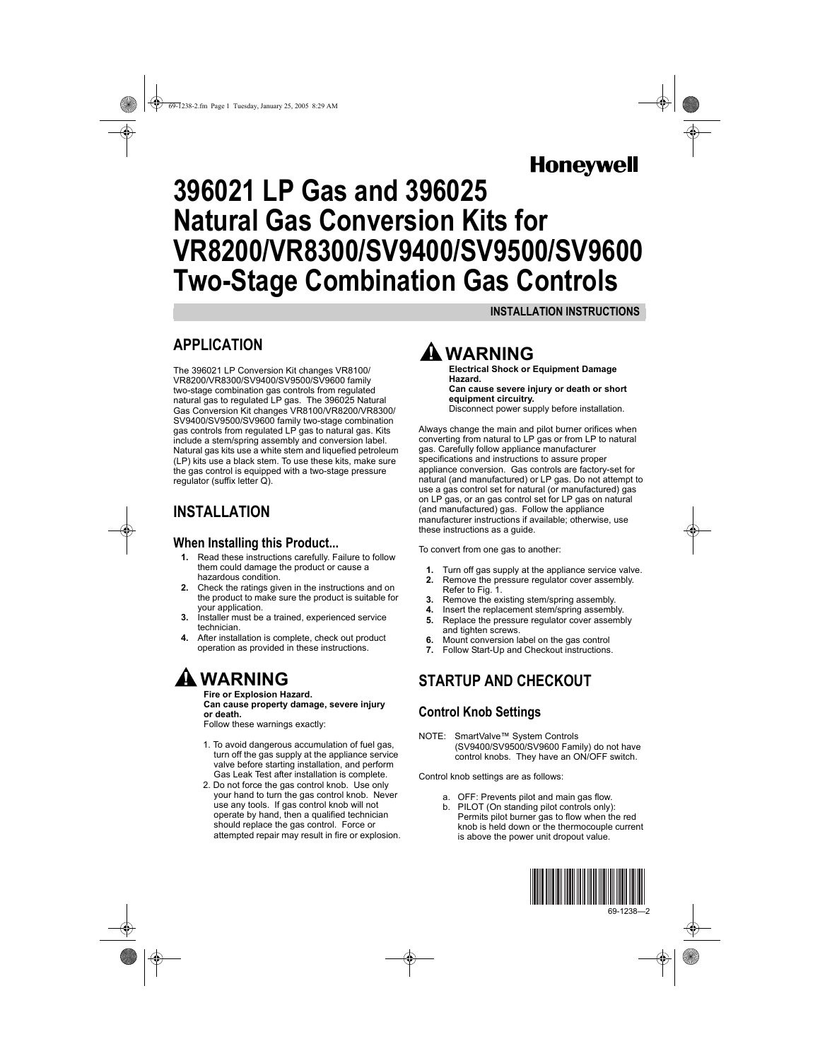## **Honeywel**

# **396021 LP Gas and 396025 Natural Gas Conversion Kits for VR8200/VR8300/SV9400/SV9500/SV9600 Two-Stage Combination Gas Controls**

#### **INSTALLATION INSTRUCTIONS**

### **APPLICATION**

The 396021 LP Conversion Kit changes VR8100/ VR8200/VR8300/SV9400/SV9500/SV9600 family two-stage combination gas controls from regulated natural gas to regulated LP gas. The 396025 Natural Gas Conversion Kit changes VR8100/VR8200/VR8300/ SV9400/SV9500/SV9600 family two-stage combination gas controls from regulated LP gas to natural gas. Kits include a stem/spring assembly and conversion label. Natural gas kits use a white stem and liquefied petroleum (LP) kits use a black stem. To use these kits, make sure the gas control is equipped with a two-stage pressure regulator (suffix letter Q).

## **INSTALLATION**

#### **When Installing this Product...**

- **1.** Read these instructions carefully. Failure to follow them could damage the product or cause a hazardous condition.
- **2.** Check the ratings given in the instructions and on the product to make sure the product is suitable for your application.
- **3.** Installer must be a trained, experienced service technician.
- **4.** After installation is complete, check out product operation as provided in these instructions.

## **WARNING**

**Fire or Explosion Hazard. Can cause property damage, severe injury or death.** Follow these warnings exactly:

1. To avoid dangerous accumulation of fuel gas,

- turn off the gas supply at the appliance service valve before starting installation, and perform Gas Leak Test after installation is complete.
- 2. Do not force the gas control knob. Use only your hand to turn the gas control knob. Never use any tools. If gas control knob will not operate by hand, then a qualified technician should replace the gas control. Force or attempted repair may result in fire or explosion.



# **Electrical Shock or Equipment Damage**

**Hazard. Can cause severe injury or death or short equipment circuitry.** Disconnect power supply before installation.

Always change the main and pilot burner orifices when converting from natural to LP gas or from LP to natural gas. Carefully follow appliance manufacturer specifications and instructions to assure proper appliance conversion. Gas controls are factory-set for natural (and manufactured) or LP gas. Do not attempt to use a gas control set for natural (or manufactured) gas on LP gas, or an gas control set for LP gas on natural (and manufactured) gas. Follow the appliance manufacturer instructions if available; otherwise, use these instructions as a guide.

To convert from one gas to another:

- **1.** Turn off gas supply at the appliance service valve.<br>**2.** Remove the pressure regulator cover assembly.
- **2.** Remove the pressure regulator cover assembly. Refer to Fig. 1.
- **3.** Remove the existing stem/spring assembly.
- **4.** Insert the replacement stem/spring assembly. **5.** Replace the pressure regulator cover assembly
- and tighten screws.
- **6.** Mount conversion label on the gas control **7.** Follow Start-Up and Checkout instructions.

### **STARTUP AND CHECKOUT**

### **Control Knob Settings**

NOTE: SmartValve™ System Controls (SV9400/SV9500/SV9600 Family) do not have control knobs. They have an ON/OFF switch.

Control knob settings are as follows:

- a. OFF: Prevents pilot and main gas flow.
- b. PILOT (On standing pilot controls only): Permits pilot burner gas to flow when the red knob is held down or the thermocouple current is above the power unit dropout value.

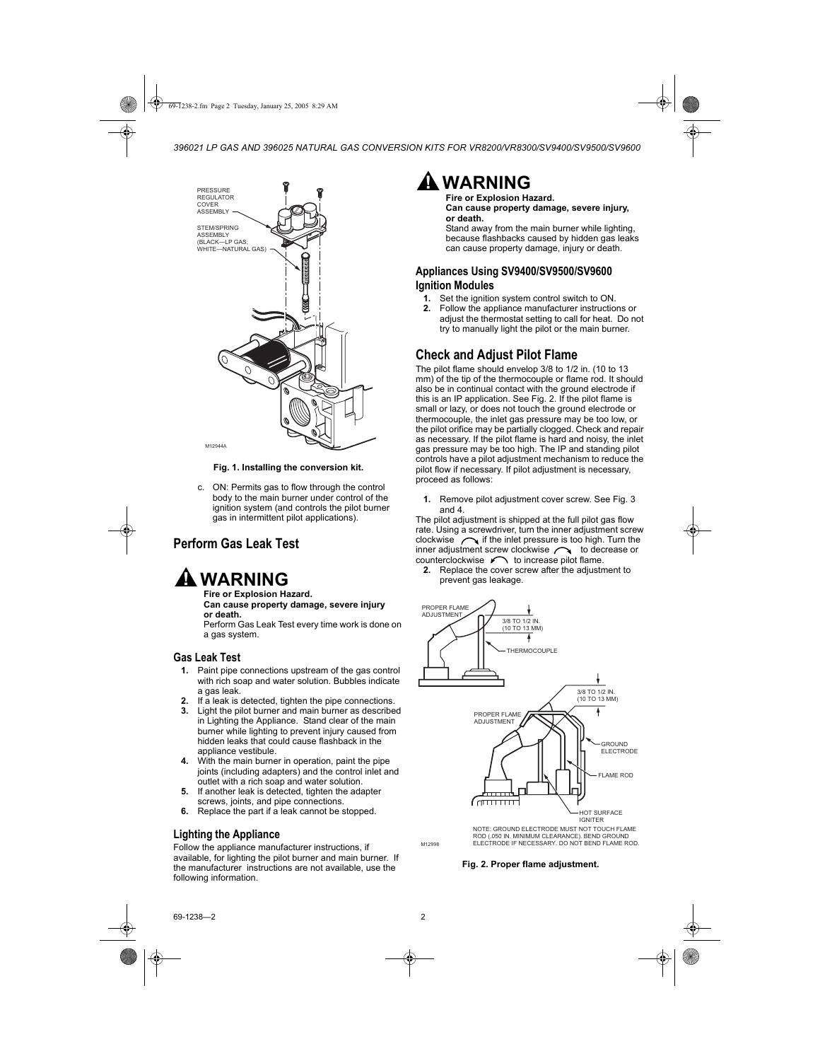

**Fig. 1. Installing the conversion kit.**

c. ON: Permits gas to flow through the control body to the main burner under control of the ignition system (and controls the pilot burner gas in intermittent pilot applications).

#### **Perform Gas Leak Test**

## **WARNING**

**Fire or Explosion Hazard. Can cause property damage, severe injury or death.**

Perform Gas Leak Test every time work is done on a gas system.

#### **Gas Leak Test**

- **1.** Paint pipe connections upstream of the gas control with rich soap and water solution. Bubbles indicate a gas leak.
- **2.** If a leak is detected, tighten the pipe connections.
- **3.** Light the pilot burner and main burner as described in Lighting the Appliance. Stand clear of the main burner while lighting to prevent injury caused from hidden leaks that could cause flashback in the appliance vestibule.
- **4.** With the main burner in operation, paint the pipe joints (including adapters) and the control inlet and outlet with a rich soap and water solution.
- **5.** If another leak is detected, tighten the adapter screws, joints, and pipe connections.
- **6.** Replace the part if a leak cannot be stopped.

#### **Lighting the Appliance**

Follow the appliance manufacturer instructions, if available, for lighting the pilot burner and main burner. If the manufacturer instructions are not available, use the following information.



**Fire or Explosion Hazard. Can cause property damage, severe injury, or death.**

Stand away from the main burner while lighting. because flashbacks caused by hidden gas leaks can cause property damage, injury or death.

#### **Appliances Using SV9400/SV9500/SV9600 Ignition Modules**

- **1.** Set the ignition system control switch to ON.<br>**2.** Follow the appliance manufacturer instruction
- **2.** Follow the appliance manufacturer instructions or adjust the thermostat setting to call for heat. Do not try to manually light the pilot or the main burner.

#### **Check and Adjust Pilot Flame**

The pilot flame should envelop 3/8 to 1/2 in. (10 to 13 mm) of the tip of the thermocouple or flame rod. It should also be in continual contact with the ground electrode if this is an IP application. See Fig. 2. If the pilot flame is small or lazy, or does not touch the ground electrode or thermocouple, the inlet gas pressure may be too low, or the pilot orifice may be partially clogged. Check and repair as necessary. If the pilot flame is hard and noisy, the inlet gas pressure may be too high. The IP and standing pilot controls have a pilot adjustment mechanism to reduce the pilot flow if necessary. If pilot adjustment is necessary, proceed as follows:

**1.** Remove pilot adjustment cover screw. See Fig. 3 and 4.

The pilot adjustment is shipped at the full pilot gas flow rate. Using a screwdriver, turn the inner adjustment screw clockwise  $\sim$  if the inlet pressure is too high. Turn the inner adjustment screw clockwise  $\bigcap$  to decrease or counterclockwise  $\curvearrowleft$  to increase pilot flame.

**2.** Replace the cover screw after the adjustment to prevent gas leakage.



NOTE: GROUND ELECTRODE MUST NOT TOUCH FLAME ROD (.050 IN. MINIMUM CLEARANCE). BEND GROUND ELECTRODE IF NECESSARY. DO NOT BEND FLAME ROD.

#### **Fig. 2. Proper flame adjustment.**

M12998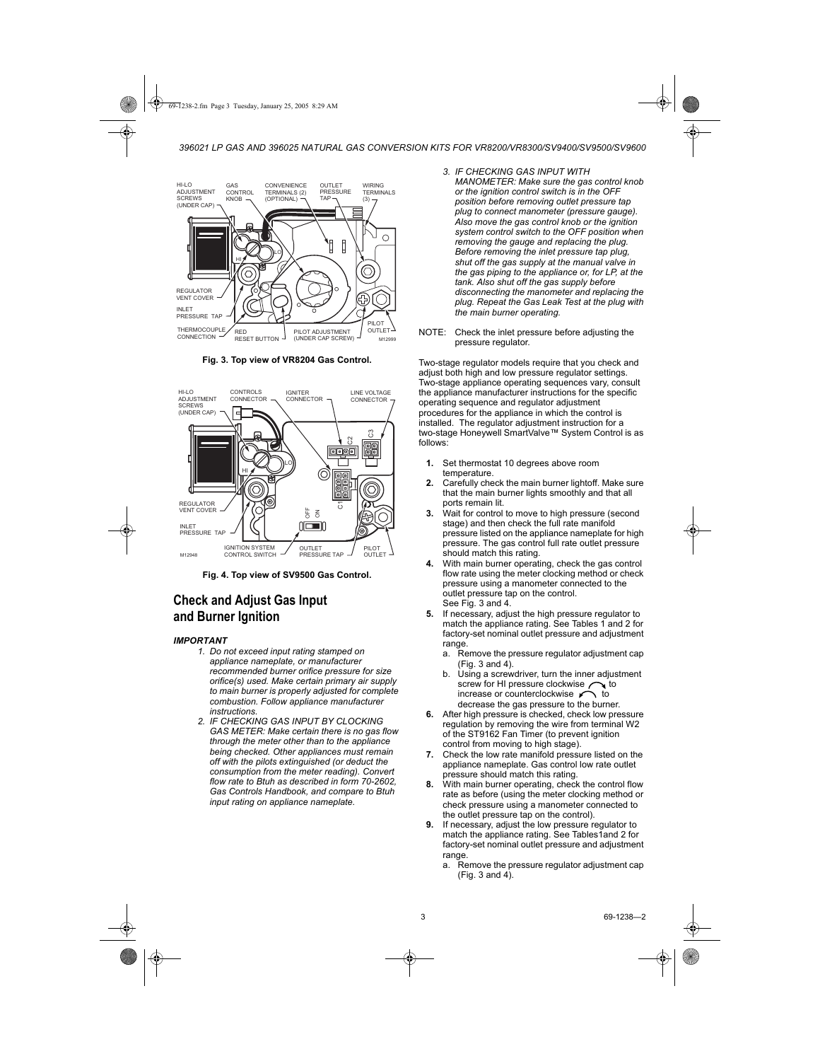

**Fig. 3. Top view of VR8204 Gas Control.**



**Fig. 4. Top view of SV9500 Gas Control.**

#### **Check and Adjust Gas Input and Burner Ignition**

#### *IMPORTANT*

- *1. Do not exceed input rating stamped on appliance nameplate, or manufacturer recommended burner orifice pressure for size orifice(s) used. Make certain primary air supply to main burner is properly adjusted for complete combustion. Follow appliance manufacturer instructions.*
- *2. IF CHECKING GAS INPUT BY CLOCKING GAS METER: Make certain there is no gas flow through the meter other than to the appliance being checked. Other appliances must remain off with the pilots extinguished (or deduct the consumption from the meter reading). Convert flow rate to Btuh as described in form 70-2602, Gas Controls Handbook, and compare to Btuh input rating on appliance nameplate.*
- *3. IF CHECKING GAS INPUT WITH MANOMETER: Make sure the gas control knob or the ignition control switch is in the OFF position before removing outlet pressure tap plug to connect manometer (pressure gauge). Also move the gas control knob or the ignition system control switch to the OFF position when removing the gauge and replacing the plug. Before removing the inlet pressure tap plug, shut off the gas supply at the manual valve in the gas piping to the appliance or, for LP, at the tank. Also shut off the gas supply before disconnecting the manometer and replacing the plug. Repeat the Gas Leak Test at the plug with the main burner operating.*
- NOTE: Check the inlet pressure before adjusting the pressure regulator.

Two-stage regulator models require that you check and adjust both high and low pressure regulator settings. Two-stage appliance operating sequences vary, consult the appliance manufacturer instructions for the specific operating sequence and regulator adjustment procedures for the appliance in which the control is installed. The regulator adjustment instruction for a two-stage Honeywell SmartValve™ System Control is as follows:

- **1.** Set thermostat 10 degrees above room temperature.
- **2.** Carefully check the main burner lightoff. Make sure that the main burner lights smoothly and that all ports remain lit.
- **3.** Wait for control to move to high pressure (second stage) and then check the full rate manifold pressure listed on the appliance nameplate for high pressure. The gas control full rate outlet pressure should match this rating.
- **4.** With main burner operating, check the gas control flow rate using the meter clocking method or check pressure using a manometer connected to the outlet pressure tap on the control. See Fig. 3 and 4.
- **5.** If necessary, adjust the high pressure regulator to match the appliance rating. See Tables 1 and 2 for factory-set nominal outlet pressure and adjustment range.
	- a. Remove the pressure regulator adjustment cap (Fig. 3 and 4).
	- b. Using a screwdriver, turn the inner adjustment screw for HI pressure clockwise  $\bigcap$  to increase or counterclockwise  $\curvearrowleft$  to decrease the gas pressure to the burner.
- **6.** After high pressure is checked, check low pressure regulation by removing the wire from terminal W2 of the ST9162 Fan Timer (to prevent ignition control from moving to high stage).
- **7.** Check the low rate manifold pressure listed on the appliance nameplate. Gas control low rate outlet pressure should match this rating.
- **8.** With main burner operating, check the control flow rate as before (using the meter clocking method or check pressure using a manometer connected to the outlet pressure tap on the control).
- **9.** If necessary, adjust the low pressure regulator to match the appliance rating. See Tables1and 2 for factory-set nominal outlet pressure and adjustment range.
	- a. Remove the pressure regulator adjustment cap (Fig. 3 and 4).